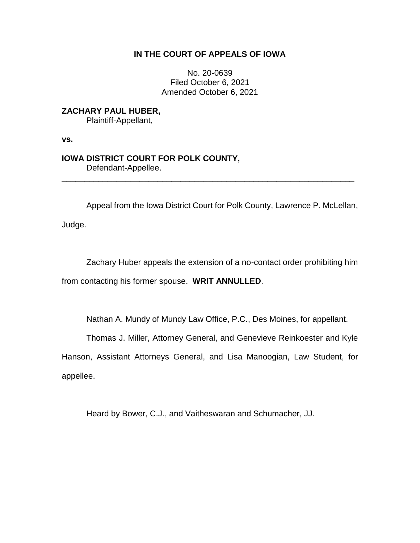## **IN THE COURT OF APPEALS OF IOWA**

No. 20-0639 Filed October 6, 2021 Amended October 6, 2021

**ZACHARY PAUL HUBER,** Plaintiff-Appellant,

**vs.**

# **IOWA DISTRICT COURT FOR POLK COUNTY,** Defendant-Appellee.

Appeal from the Iowa District Court for Polk County, Lawrence P. McLellan,

\_\_\_\_\_\_\_\_\_\_\_\_\_\_\_\_\_\_\_\_\_\_\_\_\_\_\_\_\_\_\_\_\_\_\_\_\_\_\_\_\_\_\_\_\_\_\_\_\_\_\_\_\_\_\_\_\_\_\_\_\_\_\_\_

Judge.

Zachary Huber appeals the extension of a no-contact order prohibiting him from contacting his former spouse. **WRIT ANNULLED**.

Nathan A. Mundy of Mundy Law Office, P.C., Des Moines, for appellant.

Thomas J. Miller, Attorney General, and Genevieve Reinkoester and Kyle

Hanson, Assistant Attorneys General, and Lisa Manoogian, Law Student, for appellee.

Heard by Bower, C.J., and Vaitheswaran and Schumacher, JJ.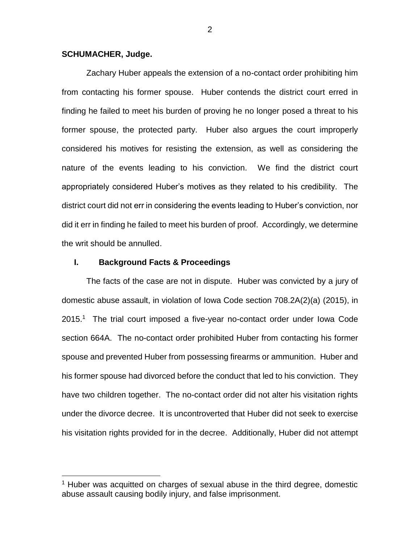### **SCHUMACHER, Judge.**

 $\overline{a}$ 

Zachary Huber appeals the extension of a no-contact order prohibiting him from contacting his former spouse. Huber contends the district court erred in finding he failed to meet his burden of proving he no longer posed a threat to his former spouse, the protected party. Huber also argues the court improperly considered his motives for resisting the extension, as well as considering the nature of the events leading to his conviction. We find the district court appropriately considered Huber's motives as they related to his credibility. The district court did not err in considering the events leading to Huber's conviction, nor did it err in finding he failed to meet his burden of proof. Accordingly, we determine the writ should be annulled.

## **I. Background Facts & Proceedings**

The facts of the case are not in dispute. Huber was convicted by a jury of domestic abuse assault, in violation of Iowa Code section 708.2A(2)(a) (2015), in 2015.<sup>1</sup> The trial court imposed a five-year no-contact order under Iowa Code section 664A. The no-contact order prohibited Huber from contacting his former spouse and prevented Huber from possessing firearms or ammunition. Huber and his former spouse had divorced before the conduct that led to his conviction. They have two children together. The no-contact order did not alter his visitation rights under the divorce decree. It is uncontroverted that Huber did not seek to exercise his visitation rights provided for in the decree. Additionally, Huber did not attempt

 $1$  Huber was acquitted on charges of sexual abuse in the third degree, domestic abuse assault causing bodily injury, and false imprisonment.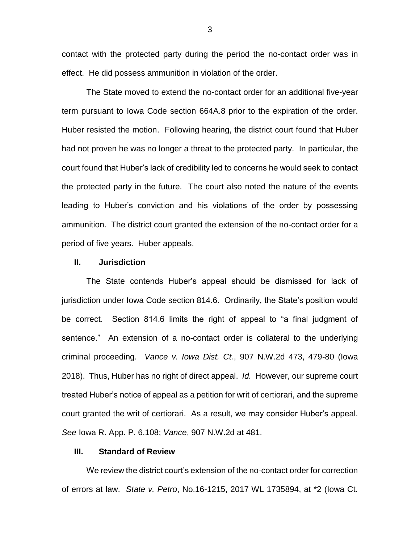contact with the protected party during the period the no-contact order was in effect. He did possess ammunition in violation of the order.

The State moved to extend the no-contact order for an additional five-year term pursuant to Iowa Code section 664A.8 prior to the expiration of the order. Huber resisted the motion. Following hearing, the district court found that Huber had not proven he was no longer a threat to the protected party. In particular, the court found that Huber's lack of credibility led to concerns he would seek to contact the protected party in the future. The court also noted the nature of the events leading to Huber's conviction and his violations of the order by possessing ammunition. The district court granted the extension of the no-contact order for a period of five years. Huber appeals.

#### **II. Jurisdiction**

The State contends Huber's appeal should be dismissed for lack of jurisdiction under Iowa Code section 814.6. Ordinarily, the State's position would be correct. Section 814.6 limits the right of appeal to "a final judgment of sentence." An extension of a no-contact order is collateral to the underlying criminal proceeding. *Vance v. Iowa Dist. Ct.*, 907 N.W.2d 473, 479-80 (Iowa 2018). Thus, Huber has no right of direct appeal. *Id.* However, our supreme court treated Huber's notice of appeal as a petition for writ of certiorari, and the supreme court granted the writ of certiorari. As a result, we may consider Huber's appeal. *See* Iowa R. App. P. 6.108; *Vance*, 907 N.W.2d at 481.

## **III. Standard of Review**

We review the district court's extension of the no-contact order for correction of errors at law. *State v. Petro*, No.16-1215, 2017 WL 1735894, at \*2 (Iowa Ct.

3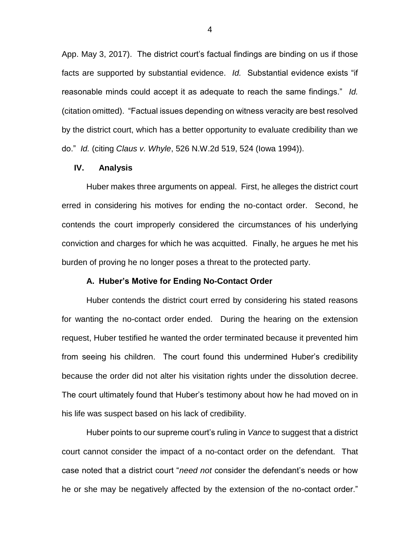App. May 3, 2017). The district court's factual findings are binding on us if those facts are supported by substantial evidence. *Id.* Substantial evidence exists "if reasonable minds could accept it as adequate to reach the same findings." *Id.*  (citation omitted). "Factual issues depending on witness veracity are best resolved by the district court, which has a better opportunity to evaluate credibility than we do." *Id.* (citing *Claus v. Whyle*, 526 N.W.2d 519, 524 (Iowa 1994)).

### **IV. Analysis**

Huber makes three arguments on appeal. First, he alleges the district court erred in considering his motives for ending the no-contact order. Second, he contends the court improperly considered the circumstances of his underlying conviction and charges for which he was acquitted. Finally, he argues he met his burden of proving he no longer poses a threat to the protected party.

#### **A. Huber's Motive for Ending No-Contact Order**

Huber contends the district court erred by considering his stated reasons for wanting the no-contact order ended. During the hearing on the extension request, Huber testified he wanted the order terminated because it prevented him from seeing his children. The court found this undermined Huber's credibility because the order did not alter his visitation rights under the dissolution decree. The court ultimately found that Huber's testimony about how he had moved on in his life was suspect based on his lack of credibility.

Huber points to our supreme court's ruling in *Vance* to suggest that a district court cannot consider the impact of a no-contact order on the defendant. That case noted that a district court "*need not* consider the defendant's needs or how he or she may be negatively affected by the extension of the no-contact order."

4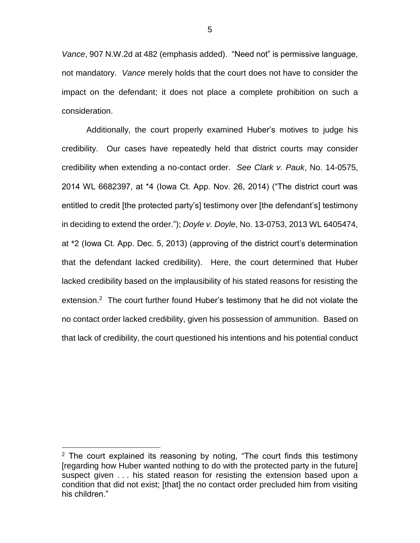*Vance*, 907 N.W.2d at 482 (emphasis added). "Need not" is permissive language, not mandatory. *Vance* merely holds that the court does not have to consider the impact on the defendant; it does not place a complete prohibition on such a consideration.

Additionally, the court properly examined Huber's motives to judge his credibility. Our cases have repeatedly held that district courts may consider credibility when extending a no-contact order. *See Clark v. Pauk*, No. 14-0575, 2014 WL 6682397, at \*4 (Iowa Ct. App. Nov. 26, 2014) ("The district court was entitled to credit [the protected party's] testimony over [the defendant's] testimony in deciding to extend the order."); *Doyle v. Doyle*, No. 13-0753, 2013 WL 6405474, at \*2 (Iowa Ct. App. Dec. 5, 2013) (approving of the district court's determination that the defendant lacked credibility). Here, the court determined that Huber lacked credibility based on the implausibility of his stated reasons for resisting the extension.<sup>2</sup> The court further found Huber's testimony that he did not violate the no contact order lacked credibility, given his possession of ammunition. Based on that lack of credibility, the court questioned his intentions and his potential conduct

 $\overline{a}$ 

 $2$  The court explained its reasoning by noting, "The court finds this testimony [regarding how Huber wanted nothing to do with the protected party in the future] suspect given . . . his stated reason for resisting the extension based upon a condition that did not exist; [that] the no contact order precluded him from visiting his children."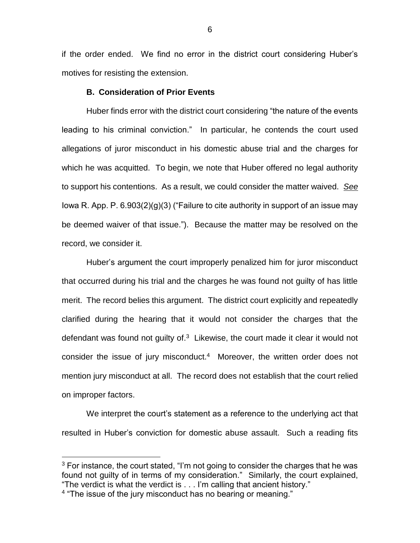if the order ended. We find no error in the district court considering Huber's motives for resisting the extension.

## **B. Consideration of Prior Events**

Huber finds error with the district court considering "the nature of the events leading to his criminal conviction." In particular, he contends the court used allegations of juror misconduct in his domestic abuse trial and the charges for which he was acquitted. To begin, we note that Huber offered no legal authority to support his contentions. As a result, we could consider the matter waived. *See*  lowa R. App. P.  $6.903(2)(g)(3)$  ("Failure to cite authority in support of an issue may be deemed waiver of that issue."). Because the matter may be resolved on the record, we consider it.

Huber's argument the court improperly penalized him for juror misconduct that occurred during his trial and the charges he was found not guilty of has little merit. The record belies this argument. The district court explicitly and repeatedly clarified during the hearing that it would not consider the charges that the defendant was found not quilty of. $3$  Likewise, the court made it clear it would not consider the issue of jury misconduct.<sup>4</sup> Moreover, the written order does not mention jury misconduct at all. The record does not establish that the court relied on improper factors.

We interpret the court's statement as a reference to the underlying act that resulted in Huber's conviction for domestic abuse assault. Such a reading fits

 $\overline{a}$ 

 $3$  For instance, the court stated, "I'm not going to consider the charges that he was found not guilty of in terms of my consideration." Similarly, the court explained, "The verdict is what the verdict is . . . I'm calling that ancient history."

<sup>4</sup> "The issue of the jury misconduct has no bearing or meaning."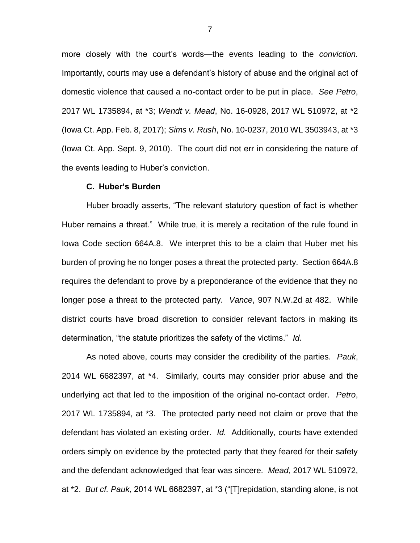more closely with the court's words—the events leading to the *conviction.* Importantly, courts may use a defendant's history of abuse and the original act of domestic violence that caused a no-contact order to be put in place. *See Petro*, 2017 WL 1735894, at \*3; *Wendt v. Mead*, No. 16-0928, 2017 WL 510972, at \*2 (Iowa Ct. App. Feb. 8, 2017); *Sims v. Rush*, No. 10-0237, 2010 WL 3503943, at \*3 (Iowa Ct. App. Sept. 9, 2010). The court did not err in considering the nature of the events leading to Huber's conviction.

#### **C. Huber's Burden**

Huber broadly asserts, "The relevant statutory question of fact is whether Huber remains a threat." While true, it is merely a recitation of the rule found in Iowa Code section 664A.8. We interpret this to be a claim that Huber met his burden of proving he no longer poses a threat the protected party. Section 664A.8 requires the defendant to prove by a preponderance of the evidence that they no longer pose a threat to the protected party. *Vance*, 907 N.W.2d at 482. While district courts have broad discretion to consider relevant factors in making its determination, "the statute prioritizes the safety of the victims." *Id.* 

As noted above, courts may consider the credibility of the parties. *Pauk*, 2014 WL 6682397, at \*4. Similarly, courts may consider prior abuse and the underlying act that led to the imposition of the original no-contact order. *Petro*, 2017 WL 1735894, at \*3. The protected party need not claim or prove that the defendant has violated an existing order. *Id.* Additionally, courts have extended orders simply on evidence by the protected party that they feared for their safety and the defendant acknowledged that fear was sincere. *Mead*, 2017 WL 510972, at \*2. *But cf. Pauk*, 2014 WL 6682397, at \*3 ("[T]repidation, standing alone, is not